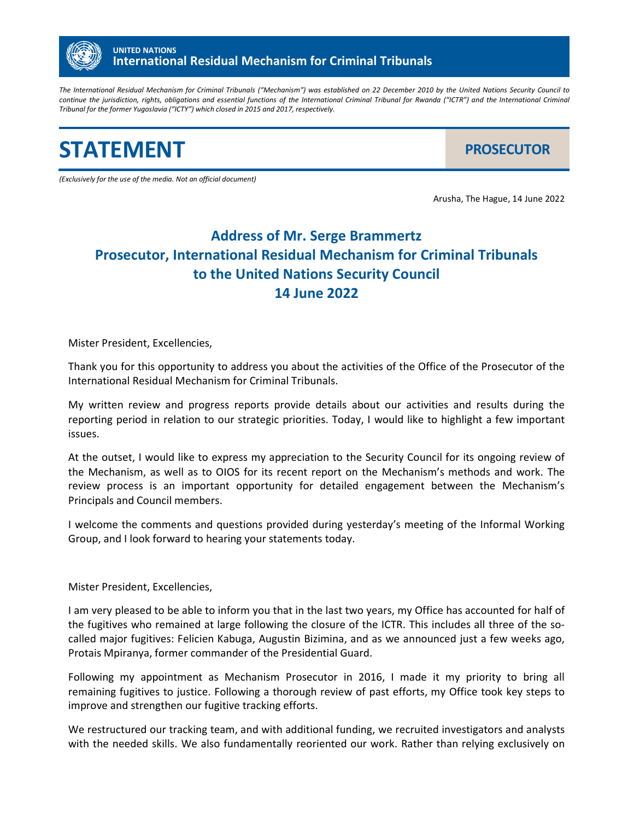

*The International Residual Mechanism for Criminal Tribunals ("Mechanism") was established on 22 December 2010 by the United Nations Security Council to continue the jurisdiction, rights, obligations and essential functions of the International Criminal Tribunal for Rwanda ("ICTR") and the International Criminal Tribunal for the former Yugoslavia ("ICTY") which closed in 2015 and 2017, respectively.* 

**STATEMENT** *PROSECUTOR* 

*(Exclusively for the use of the media. Not an official document)*

Arusha, The Hague, 14 June 2022

## **Address of Mr. Serge Brammertz Prosecutor, International Residual Mechanism for Criminal Tribunals to the United Nations Security Council 14 June 2022**

Mister President, Excellencies,

Thank you for this opportunity to address you about the activities of the Office of the Prosecutor of the International Residual Mechanism for Criminal Tribunals.

My written review and progress reports provide details about our activities and results during the reporting period in relation to our strategic priorities. Today, I would like to highlight a few important issues.

At the outset, I would like to express my appreciation to the Security Council for its ongoing review of the Mechanism, as well as to OIOS for its recent report on the Mechanism's methods and work. The review process is an important opportunity for detailed engagement between the Mechanism's Principals and Council members.

I welcome the comments and questions provided during yesterday's meeting of the Informal Working Group, and I look forward to hearing your statements today.

Mister President, Excellencies,

I am very pleased to be able to inform you that in the last two years, my Office has accounted for half of the fugitives who remained at large following the closure of the ICTR. This includes all three of the socalled major fugitives: Felicien Kabuga, Augustin Bizimina, and as we announced just a few weeks ago, Protais Mpiranya, former commander of the Presidential Guard.

Following my appointment as Mechanism Prosecutor in 2016, I made it my priority to bring all remaining fugitives to justice. Following a thorough review of past efforts, my Office took key steps to improve and strengthen our fugitive tracking efforts.

We restructured our tracking team, and with additional funding, we recruited investigators and analysts with the needed skills. We also fundamentally reoriented our work. Rather than relying exclusively on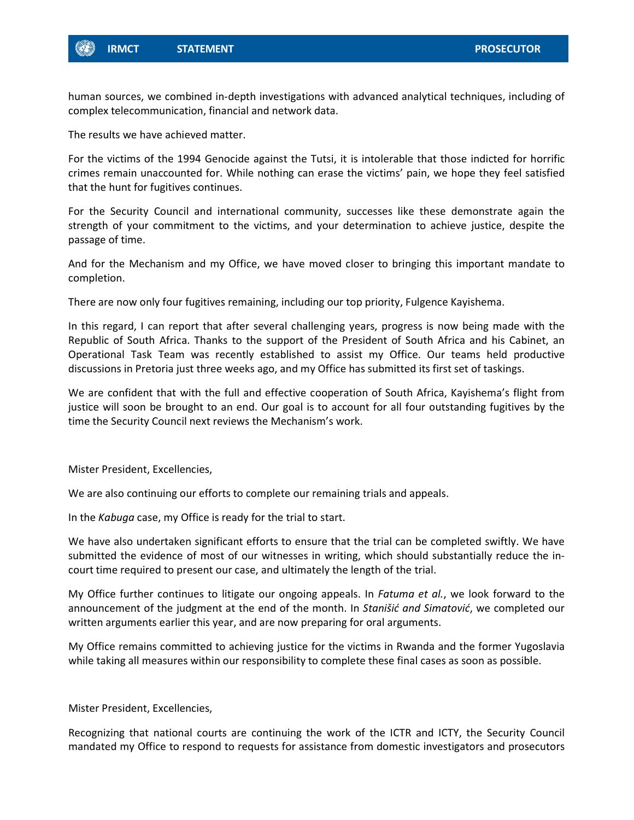

human sources, we combined in-depth investigations with advanced analytical techniques, including of complex telecommunication, financial and network data.

The results we have achieved matter.

For the victims of the 1994 Genocide against the Tutsi, it is intolerable that those indicted for horrific crimes remain unaccounted for. While nothing can erase the victims' pain, we hope they feel satisfied that the hunt for fugitives continues.

For the Security Council and international community, successes like these demonstrate again the strength of your commitment to the victims, and your determination to achieve justice, despite the passage of time.

And for the Mechanism and my Office, we have moved closer to bringing this important mandate to completion.

There are now only four fugitives remaining, including our top priority, Fulgence Kayishema.

In this regard, I can report that after several challenging years, progress is now being made with the Republic of South Africa. Thanks to the support of the President of South Africa and his Cabinet, an Operational Task Team was recently established to assist my Office. Our teams held productive discussions in Pretoria just three weeks ago, and my Office has submitted its first set of taskings.

We are confident that with the full and effective cooperation of South Africa, Kayishema's flight from justice will soon be brought to an end. Our goal is to account for all four outstanding fugitives by the time the Security Council next reviews the Mechanism's work.

Mister President, Excellencies,

We are also continuing our efforts to complete our remaining trials and appeals.

In the *Kabuga* case, my Office is ready for the trial to start.

We have also undertaken significant efforts to ensure that the trial can be completed swiftly. We have submitted the evidence of most of our witnesses in writing, which should substantially reduce the incourt time required to present our case, and ultimately the length of the trial.

My Office further continues to litigate our ongoing appeals. In *Fatuma et al.*, we look forward to the announcement of the judgment at the end of the month. In *Stanišić and Simatović*, we completed our written arguments earlier this year, and are now preparing for oral arguments.

My Office remains committed to achieving justice for the victims in Rwanda and the former Yugoslavia while taking all measures within our responsibility to complete these final cases as soon as possible.

Mister President, Excellencies,

Recognizing that national courts are continuing the work of the ICTR and ICTY, the Security Council mandated my Office to respond to requests for assistance from domestic investigators and prosecutors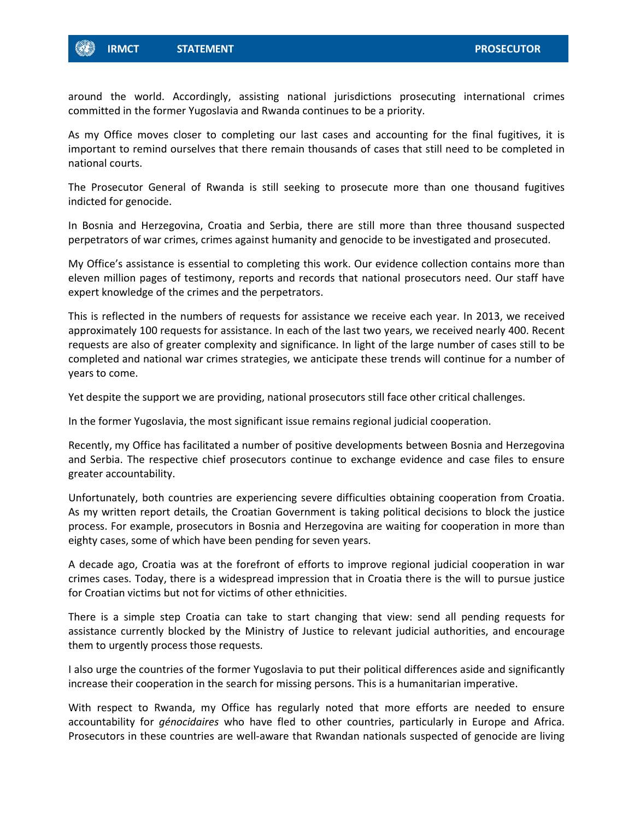

around the world. Accordingly, assisting national jurisdictions prosecuting international crimes committed in the former Yugoslavia and Rwanda continues to be a priority.

As my Office moves closer to completing our last cases and accounting for the final fugitives, it is important to remind ourselves that there remain thousands of cases that still need to be completed in national courts.

The Prosecutor General of Rwanda is still seeking to prosecute more than one thousand fugitives indicted for genocide.

In Bosnia and Herzegovina, Croatia and Serbia, there are still more than three thousand suspected perpetrators of war crimes, crimes against humanity and genocide to be investigated and prosecuted.

My Office's assistance is essential to completing this work. Our evidence collection contains more than eleven million pages of testimony, reports and records that national prosecutors need. Our staff have expert knowledge of the crimes and the perpetrators.

This is reflected in the numbers of requests for assistance we receive each year. In 2013, we received approximately 100 requests for assistance. In each of the last two years, we received nearly 400. Recent requests are also of greater complexity and significance. In light of the large number of cases still to be completed and national war crimes strategies, we anticipate these trends will continue for a number of years to come.

Yet despite the support we are providing, national prosecutors still face other critical challenges.

In the former Yugoslavia, the most significant issue remains regional judicial cooperation.

Recently, my Office has facilitated a number of positive developments between Bosnia and Herzegovina and Serbia. The respective chief prosecutors continue to exchange evidence and case files to ensure greater accountability.

Unfortunately, both countries are experiencing severe difficulties obtaining cooperation from Croatia. As my written report details, the Croatian Government is taking political decisions to block the justice process. For example, prosecutors in Bosnia and Herzegovina are waiting for cooperation in more than eighty cases, some of which have been pending for seven years.

A decade ago, Croatia was at the forefront of efforts to improve regional judicial cooperation in war crimes cases. Today, there is a widespread impression that in Croatia there is the will to pursue justice for Croatian victims but not for victims of other ethnicities.

There is a simple step Croatia can take to start changing that view: send all pending requests for assistance currently blocked by the Ministry of Justice to relevant judicial authorities, and encourage them to urgently process those requests.

I also urge the countries of the former Yugoslavia to put their political differences aside and significantly increase their cooperation in the search for missing persons. This is a humanitarian imperative.

With respect to Rwanda, my Office has regularly noted that more efforts are needed to ensure accountability for *génocidaires* who have fled to other countries, particularly in Europe and Africa. Prosecutors in these countries are well-aware that Rwandan nationals suspected of genocide are living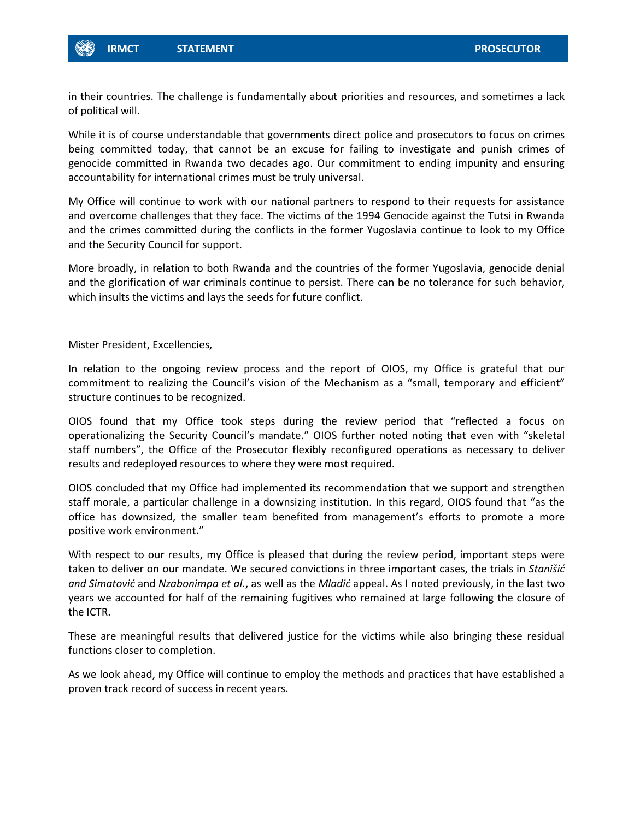

in their countries. The challenge is fundamentally about priorities and resources, and sometimes a lack of political will.

While it is of course understandable that governments direct police and prosecutors to focus on crimes being committed today, that cannot be an excuse for failing to investigate and punish crimes of genocide committed in Rwanda two decades ago. Our commitment to ending impunity and ensuring accountability for international crimes must be truly universal.

My Office will continue to work with our national partners to respond to their requests for assistance and overcome challenges that they face. The victims of the 1994 Genocide against the Tutsi in Rwanda and the crimes committed during the conflicts in the former Yugoslavia continue to look to my Office and the Security Council for support.

More broadly, in relation to both Rwanda and the countries of the former Yugoslavia, genocide denial and the glorification of war criminals continue to persist. There can be no tolerance for such behavior, which insults the victims and lays the seeds for future conflict.

Mister President, Excellencies,

In relation to the ongoing review process and the report of OIOS, my Office is grateful that our commitment to realizing the Council's vision of the Mechanism as a "small, temporary and efficient" structure continues to be recognized.

OIOS found that my Office took steps during the review period that "reflected a focus on operationalizing the Security Council's mandate." OIOS further noted noting that even with "skeletal staff numbers", the Office of the Prosecutor flexibly reconfigured operations as necessary to deliver results and redeployed resources to where they were most required.

OIOS concluded that my Office had implemented its recommendation that we support and strengthen staff morale, a particular challenge in a downsizing institution. In this regard, OIOS found that "as the office has downsized, the smaller team benefited from management's efforts to promote a more positive work environment."

With respect to our results, my Office is pleased that during the review period, important steps were taken to deliver on our mandate. We secured convictions in three important cases, the trials in *Stanišić and Simatović* and *Nzabonimpa et al*., as well as the *Mladić* appeal. As I noted previously, in the last two years we accounted for half of the remaining fugitives who remained at large following the closure of the ICTR.

These are meaningful results that delivered justice for the victims while also bringing these residual functions closer to completion.

As we look ahead, my Office will continue to employ the methods and practices that have established a proven track record of success in recent years.